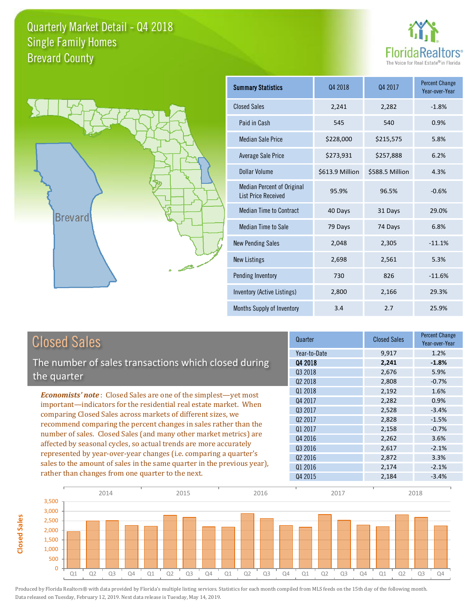



**Closed Sales**

**Closed Sales** 

| <b>Summary Statistics</b>                                       | Q4 2018         | Q4 2017         | <b>Percent Change</b><br>Year-over-Year |
|-----------------------------------------------------------------|-----------------|-----------------|-----------------------------------------|
| <b>Closed Sales</b>                                             | 2,241           | 2,282           | $-1.8%$                                 |
| Paid in Cash                                                    | 545             | 540             | 0.9%                                    |
| <b>Median Sale Price</b>                                        | \$228,000       | \$215,575       | 5.8%                                    |
| <b>Average Sale Price</b>                                       | \$273,931       | \$257,888       | 6.2%                                    |
| Dollar Volume                                                   | \$613.9 Million | \$588.5 Million | 4.3%                                    |
| <b>Median Percent of Original</b><br><b>List Price Received</b> | 95.9%           | 96.5%           | $-0.6%$                                 |
| <b>Median Time to Contract</b>                                  | 40 Days         | 31 Days         | 29.0%                                   |
| <b>Median Time to Sale</b>                                      | 79 Days         | 74 Days         | 6.8%                                    |
| <b>New Pending Sales</b>                                        | 2,048           | 2,305           | $-11.1%$                                |
| <b>New Listings</b>                                             | 2,698           | 2,561           | 5.3%                                    |
| Pending Inventory                                               | 730             | 826             | $-11.6%$                                |
| Inventory (Active Listings)                                     | 2,800           | 2,166           | 29.3%                                   |
| Months Supply of Inventory                                      | 3.4             | 2.7             | 25.9%                                   |

| <b>Closed Sales</b>                                                                                                                                                                                                                                                                                                                                                                                                        | Quarter             | <b>Closed Sales</b> | <b>Percent Change</b><br>Year-over-Year |
|----------------------------------------------------------------------------------------------------------------------------------------------------------------------------------------------------------------------------------------------------------------------------------------------------------------------------------------------------------------------------------------------------------------------------|---------------------|---------------------|-----------------------------------------|
|                                                                                                                                                                                                                                                                                                                                                                                                                            | Year-to-Date        | 9,917               | 1.2%                                    |
| The number of sales transactions which closed during                                                                                                                                                                                                                                                                                                                                                                       | Q4 2018             | 2,241               | $-1.8%$                                 |
| the quarter                                                                                                                                                                                                                                                                                                                                                                                                                | Q3 2018             | 2,676               | 5.9%                                    |
|                                                                                                                                                                                                                                                                                                                                                                                                                            | Q <sub>2</sub> 2018 | 2,808               | $-0.7%$                                 |
| <b>Economists' note:</b> Closed Sales are one of the simplest—yet most                                                                                                                                                                                                                                                                                                                                                     | Q1 2018             | 2,192               | 1.6%                                    |
| important-indicators for the residential real estate market. When                                                                                                                                                                                                                                                                                                                                                          | Q4 2017             | 2,282               | 0.9%                                    |
| comparing Closed Sales across markets of different sizes, we<br>recommend comparing the percent changes in sales rather than the<br>number of sales. Closed Sales (and many other market metrics) are<br>affected by seasonal cycles, so actual trends are more accurately<br>represented by year-over-year changes (i.e. comparing a quarter's<br>sales to the amount of sales in the same quarter in the previous year), | Q3 2017             | 2,528               | $-3.4%$                                 |
|                                                                                                                                                                                                                                                                                                                                                                                                                            | Q <sub>2</sub> 2017 | 2,828               | $-1.5%$                                 |
|                                                                                                                                                                                                                                                                                                                                                                                                                            | Q1 2017             | 2,158               | $-0.7%$                                 |
|                                                                                                                                                                                                                                                                                                                                                                                                                            | Q4 2016             | 2,262               | 3.6%                                    |
|                                                                                                                                                                                                                                                                                                                                                                                                                            | Q3 2016             | 2,617               | $-2.1%$                                 |
|                                                                                                                                                                                                                                                                                                                                                                                                                            | Q <sub>2</sub> 2016 | 2,872               | 3.3%                                    |
|                                                                                                                                                                                                                                                                                                                                                                                                                            | Q1 2016             | 2,174               | $-2.1%$                                 |
| rather than changes from one quarter to the next.                                                                                                                                                                                                                                                                                                                                                                          | Q4 2015             | 2,184               | $-3.4%$                                 |

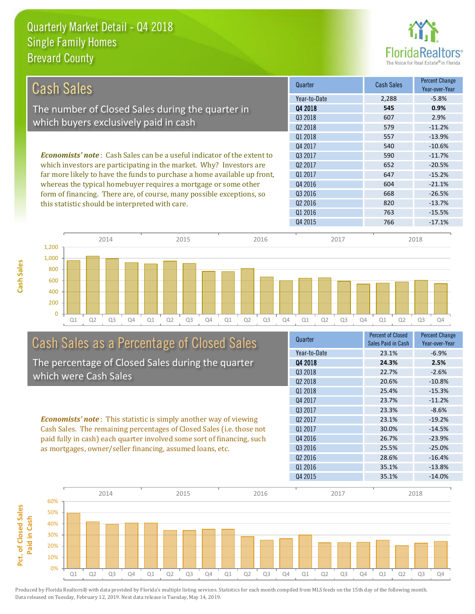

| Cash Sales                                                                                                                                             | Quarter             | <b>Cash Sales</b> | <b>Percent Change</b><br>Year-over-Year |
|--------------------------------------------------------------------------------------------------------------------------------------------------------|---------------------|-------------------|-----------------------------------------|
|                                                                                                                                                        | Year-to-Date        | 2,288             | $-5.8%$                                 |
| The number of Closed Sales during the quarter in                                                                                                       | 04 2018             | 545               | 0.9%                                    |
|                                                                                                                                                        | 03 2018             | 607               | 2.9%                                    |
| which buyers exclusively paid in cash                                                                                                                  | Q <sub>2</sub> 2018 | 579               | $-11.2%$                                |
|                                                                                                                                                        | Q1 2018             | 557               | $-13.9%$                                |
|                                                                                                                                                        | Q4 2017             | 540               | $-10.6%$                                |
| <b>Economists' note</b> : Cash Sales can be a useful indicator of the extent to<br>which investors are participating in the market. Why? Investors are | Q3 2017             | 590               | $-11.7%$                                |
|                                                                                                                                                        | Q <sub>2</sub> 2017 | 652               | $-20.5%$                                |
| far more likely to have the funds to purchase a home available up front,                                                                               | 01 2017             | 647               | $-15.2%$                                |
| whereas the typical homebuyer requires a mortgage or some other                                                                                        | Q4 2016             | 604               | $-21.1%$                                |
| form of financing. There are, of course, many possible exceptions, so<br>this statistic should be interpreted with care.                               | Q3 2016             | 668               | $-26.5%$                                |
|                                                                                                                                                        | Q <sub>2</sub> 2016 | 820               | $-13.7%$                                |
|                                                                                                                                                        | Q1 2016             | 763               | $-15.5%$                                |
|                                                                                                                                                        | Q4 2015             | 766               | $-17.1%$                                |
|                                                                                                                                                        |                     |                   |                                         |



# Cash Sales as a Percentage of Closed Sales

The percentage of Closed Sales during the quarter which were Cash Sales

*Economists' note* : This statistic is simply another way of viewing Cash Sales. The remaining percentages of Closed Sales (i.e. those not paid fully in cash) each quarter involved some sort of financing, such as mortgages, owner/seller financing, assumed loans, etc.

| Quarter             | <b>Percent of Closed</b><br>Sales Paid in Cash | <b>Percent Change</b><br>Year-over-Year |
|---------------------|------------------------------------------------|-----------------------------------------|
| Year-to-Date        | 23.1%                                          | $-6.9%$                                 |
| Q4 2018             | 24.3%                                          | 2.5%                                    |
| Q3 2018             | 22.7%                                          | $-2.6%$                                 |
| Q <sub>2</sub> 2018 | 20.6%                                          | $-10.8%$                                |
| 01 2018             | 25.4%                                          | $-15.3%$                                |
| Q4 2017             | 23.7%                                          | $-11.2%$                                |
| 03 2017             | 23.3%                                          | $-8.6%$                                 |
| Q <sub>2</sub> 2017 | 23.1%                                          | $-19.2%$                                |
| Q1 2017             | 30.0%                                          | $-14.5%$                                |
| Q4 2016             | 26.7%                                          | $-23.9%$                                |
| Q3 2016             | 25.5%                                          | $-25.0%$                                |
| Q <sub>2</sub> 2016 | 28.6%                                          | $-16.4%$                                |
| Q1 2016             | 35.1%                                          | $-13.8%$                                |
| Q4 2015             | 35.1%                                          | $-14.0%$                                |
|                     |                                                |                                         |

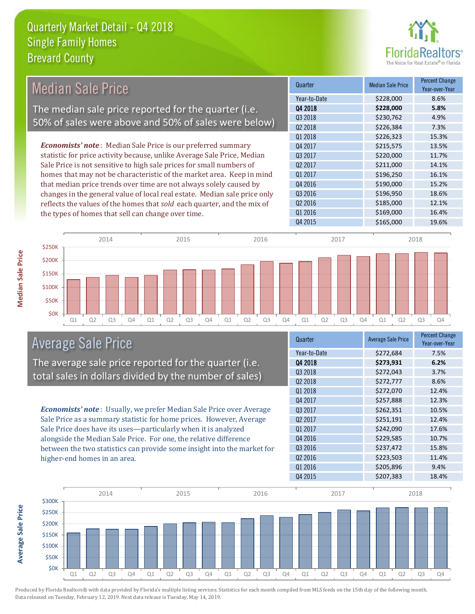

#### *Economists' note* : Median Sale Price is our preferred summary statistic for price activity because, unlike Average Sale Price, Median Sale Price is not sensitive to high sale prices for small numbers of homes that may not be characteristic of the market area. Keep in mind that median price trends over time are not always solely caused by changes in the general value of local real estate. Median sale price only reflects the values of the homes that *sold* each quarter, and the mix of the types of homes that sell can change over time. Q4 2015 \$165,000 19.6% Q2 2016 \$185,000 12.1% Q1 2016 **\$169,000** \$169,000 16.4% Q4 2016 **\$190,000** 15.2% Q3 2016 \$196,950 18.6% \$226,323 15.3% Q4 2017 \$215,575 13.5% Q1 2017 \$196,250 16.1% Q3 2018 **\$230,762** \$230,762 4.9% Q2 2018 \$226,384 7.3% Q3 2017 \$220,000 11.7% Q2 2017 \$211,000 14.1% Q1 2018 Quarter Median Sale Price Percent Change Year-over-Year Q4 2018 **\$228,000 5.8%** Year-to-Date \$228,000 8.6% 2014 2015 2016 2017 2018 Median Sale Price The median sale price reported for the quarter (i.e. 50% of sales were above and 50% of sales were below)



### Average Sale Price

The average sale price reported for the quarter (i.e. total sales in dollars divided by the number of sales)

*Economists' note* : Usually, we prefer Median Sale Price over Average Sale Price as a summary statistic for home prices. However, Average Sale Price does have its uses—particularly when it is analyzed alongside the Median Sale Price. For one, the relative difference between the two statistics can provide some insight into the market for higher-end homes in an area.

| Quarter             | <b>Average Sale Price</b> | <b>Percent Change</b><br>Year-over-Year |
|---------------------|---------------------------|-----------------------------------------|
| Year-to-Date        | \$272,684                 | 7.5%                                    |
| Q4 2018             | \$273,931                 | 6.2%                                    |
| Q3 2018             | \$272,043                 | 3.7%                                    |
| Q <sub>2</sub> 2018 | \$272,777                 | 8.6%                                    |
| Q1 2018             | \$272,070                 | 12.4%                                   |
| Q4 2017             | \$257,888                 | 12.3%                                   |
| Q3 2017             | \$262,351                 | 10.5%                                   |
| Q <sub>2</sub> 2017 | \$251,191                 | 12.4%                                   |
| 01 2017             | \$242,090                 | 17.6%                                   |
| Q4 2016             | \$229,585                 | 10.7%                                   |
| Q3 2016             | \$237,472                 | 15.8%                                   |
| Q <sub>2</sub> 2016 | \$223,503                 | 11.4%                                   |
| Q1 2016             | \$205,896                 | 9.4%                                    |
| Q4 2015             | \$207,383                 | 18.4%                                   |



Produced by Florida Realtors® with data provided by Florida's multiple listing services. Statistics for each month compiled from MLS feeds on the 15th day of the following month. Data released on Tuesday, February 12, 2019. Next data release is Tuesday, May 14, 2019.

Average Sale Price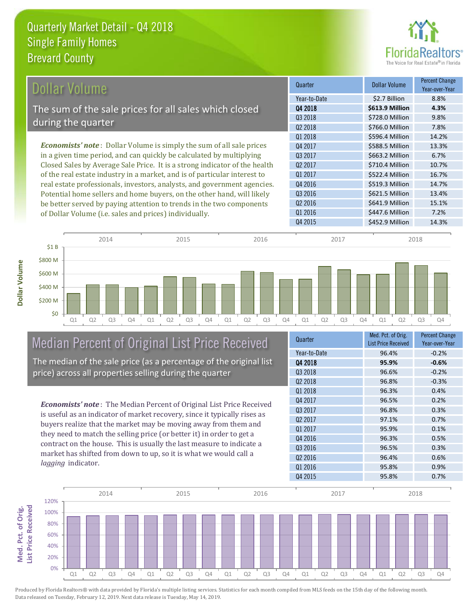

| Dollar Volume                                                               | Quarter             | <b>Dollar Volume</b> | <b>Percent Change</b><br>Year-over-Year |
|-----------------------------------------------------------------------------|---------------------|----------------------|-----------------------------------------|
|                                                                             | Year-to-Date        | \$2.7 Billion        | 8.8%                                    |
| The sum of the sale prices for all sales which closed                       | Q4 2018             | \$613.9 Million      | 4.3%                                    |
|                                                                             | Q3 2018             | \$728.0 Million      | 9.8%                                    |
| during the quarter                                                          | Q <sub>2</sub> 2018 | \$766.0 Million      | 7.8%                                    |
|                                                                             | Q1 2018             | \$596.4 Million      | 14.2%                                   |
| <b>Economists' note:</b> Dollar Volume is simply the sum of all sale prices | Q4 2017             | \$588.5 Million      | 13.3%                                   |
| in a given time period, and can quickly be calculated by multiplying        | Q3 2017             | \$663.2 Million      | 6.7%                                    |
| Closed Sales by Average Sale Price. It is a strong indicator of the health  | Q <sub>2</sub> 2017 | \$710.4 Million      | 10.7%                                   |
| of the real estate industry in a market, and is of particular interest to   | Q1 2017             | \$522.4 Million      | 16.7%                                   |
| real estate professionals, investors, analysts, and government agencies.    | Q4 2016             | \$519.3 Million      | 14.7%                                   |
| Potential home sellers and home buyers, on the other hand, will likely      | Q3 2016             | \$621.5 Million      | 13.4%                                   |
| be better served by paying attention to trends in the two components        | Q <sub>2</sub> 2016 | \$641.9 Million      | 15.1%                                   |
| of Dollar Volume (i.e. sales and prices) individually.                      | Q1 2016             | \$447.6 Million      | 7.2%                                    |



#### Median Percent of Original List Price Received The median of the sale price (as a percentage of the original list price) across all properties selling during the quarter

*Economists' note* : The Median Percent of Original List Price Received is useful as an indicator of market recovery, since it typically rises as buyers realize that the market may be moving away from them and they need to match the selling price (or better it) in order to get a contract on the house. This is usually the last measure to indicate a market has shifted from down to up, so it is what we would call a *lagging* indicator.

| Quarter             | Med. Pct. of Orig.<br><b>List Price Received</b> | <b>Percent Change</b><br>Year-over-Year |
|---------------------|--------------------------------------------------|-----------------------------------------|
| Year-to-Date        | 96.4%                                            | $-0.2%$                                 |
| 04 2018             | 95.9%                                            | $-0.6%$                                 |
| Q3 2018             | 96.6%                                            | $-0.2%$                                 |
| Q <sub>2</sub> 2018 | 96.8%                                            | $-0.3%$                                 |
| Q1 2018             | 96.3%                                            | 0.4%                                    |
| Q4 2017             | 96.5%                                            | 0.2%                                    |
| Q3 2017             | 96.8%                                            | 0.3%                                    |
| Q <sub>2</sub> 2017 | 97.1%                                            | 0.7%                                    |
| 01 2017             | 95.9%                                            | 0.1%                                    |
| Q4 2016             | 96.3%                                            | 0.5%                                    |
| 03 2016             | 96.5%                                            | 0.3%                                    |
| Q <sub>2</sub> 2016 | 96.4%                                            | 0.6%                                    |
| Q1 2016             | 95.8%                                            | 0.9%                                    |
| Q4 2015             | 95.8%                                            | 0.7%                                    |

Q4 2015 \$452.9 Million 14.3%

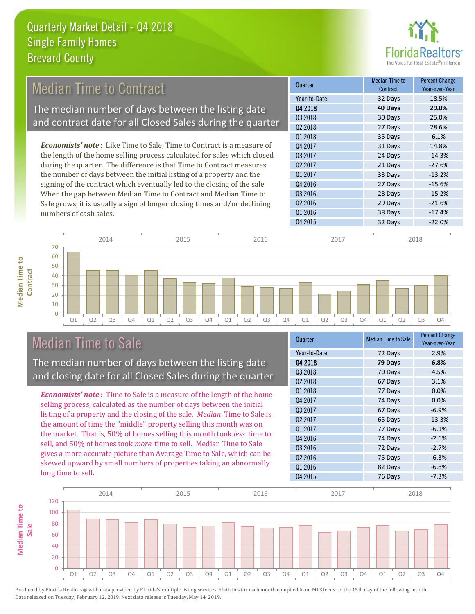

## *Economists' note* : Like Time to Sale, Time to Contract is a measure of Median Time to Contract The median number of days between the listing date and contract date for all Closed Sales during the quarter

the length of the home selling process calculated for sales which closed during the quarter. The difference is that Time to Contract measures the number of days between the initial listing of a property and the signing of the contract which eventually led to the closing of the sale. When the gap between Median Time to Contract and Median Time to Sale grows, it is usually a sign of longer closing times and/or declining numbers of cash sales.





### Median Time to Sale

**Median Time to Contract**

**Median Time to** 

The median number of days between the listing date and closing date for all Closed Sales during the quarter

*Economists' note* : Time to Sale is a measure of the length of the home selling process, calculated as the number of days between the initial listing of a property and the closing of the sale. *Median* Time to Sale is the amount of time the "middle" property selling this month was on the market. That is, 50% of homes selling this month took *less* time to sell, and 50% of homes took *more* time to sell. Median Time to Sale gives a more accurate picture than Average Time to Sale, which can be skewed upward by small numbers of properties taking an abnormally long time to sell.

| <b>Median Time to Sale</b> | <b>Percent Change</b><br>Year-over-Year |
|----------------------------|-----------------------------------------|
| 72 Days                    | 2.9%                                    |
| 79 Days                    | 6.8%                                    |
| 70 Days                    | 4.5%                                    |
| 67 Days                    | 3.1%                                    |
| 77 Days                    | 0.0%                                    |
| 74 Days                    | 0.0%                                    |
| 67 Days                    | $-6.9%$                                 |
| 65 Days                    | $-13.3%$                                |
| 77 Days                    | $-6.1%$                                 |
| 74 Days                    | $-2.6%$                                 |
| 72 Days                    | $-2.7%$                                 |
| 75 Days                    | $-6.3%$                                 |
| 82 Days                    | $-6.8%$                                 |
| 76 Days                    | $-7.3%$                                 |
|                            |                                         |

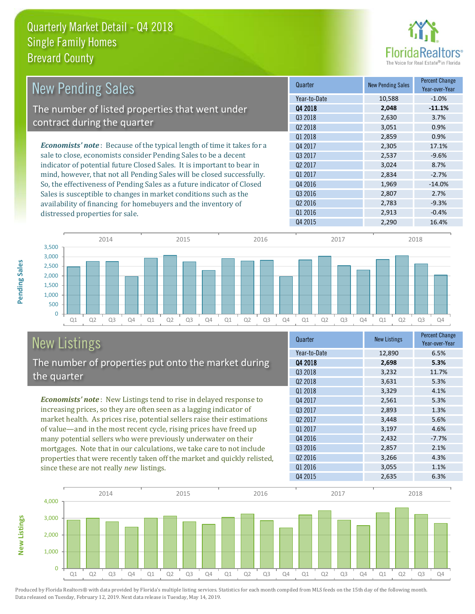

| <b>New Pending Sales</b>                                                      | Quarter             | <b>New Pending Sales</b> | <b>Percent Change</b><br>Year-over-Year |
|-------------------------------------------------------------------------------|---------------------|--------------------------|-----------------------------------------|
|                                                                               | Year-to-Date        | 10,588                   | $-1.0\%$                                |
| The number of listed properties that went under                               | 04 2018             | 2,048                    | $-11.1%$                                |
|                                                                               | Q3 2018             | 2,630                    | 3.7%                                    |
| contract during the quarter                                                   | Q <sub>2</sub> 2018 | 3,051                    | 0.9%                                    |
|                                                                               | Q1 2018             | 2,859                    | 0.9%                                    |
| <b>Economists' note:</b> Because of the typical length of time it takes for a | Q4 2017             | 2,305                    | 17.1%                                   |
| sale to close, economists consider Pending Sales to be a decent               | Q3 2017             | 2,537                    | $-9.6%$                                 |
| indicator of potential future Closed Sales. It is important to bear in        | 02 2017             | 3,024                    | 8.7%                                    |
| mind, however, that not all Pending Sales will be closed successfully.        | Q1 2017             | 2,834                    | $-2.7%$                                 |
| So, the effectiveness of Pending Sales as a future indicator of Closed        | Q4 2016             | 1,969                    | $-14.0%$                                |
| Sales is susceptible to changes in market conditions such as the              | Q3 2016             | 2,807                    | 2.7%                                    |
| availability of financing for homebuyers and the inventory of                 | Q <sub>2</sub> 2016 | 2,783                    | $-9.3%$                                 |
| distressed properties for sale.                                               | Q1 2016             | 2,913                    | $-0.4%$                                 |



### New Listings The number of properties put onto the market during the quarter

*Economists' note* : New Listings tend to rise in delayed response to increasing prices, so they are often seen as a lagging indicator of market health. As prices rise, potential sellers raise their estimations of value—and in the most recent cycle, rising prices have freed up many potential sellers who were previously underwater on their mortgages. Note that in our calculations, we take care to not include properties that were recently taken off the market and quickly relisted, since these are not really *new* listings.

| Quarter             | <b>New Listings</b> | <b>Percent Change</b><br>Year-over-Year |
|---------------------|---------------------|-----------------------------------------|
| Year-to-Date        | 12,890              | 6.5%                                    |
| 04 2018             | 2,698               | 5.3%                                    |
| Q3 2018             | 3,232               | 11.7%                                   |
| Q <sub>2</sub> 2018 | 3,631               | 5.3%                                    |
| Q1 2018             | 3,329               | 4.1%                                    |
| Q4 2017             | 2,561               | 5.3%                                    |
| Q3 2017             | 2,893               | 1.3%                                    |
| 02 2017             | 3,448               | 5.6%                                    |
| 01 2017             | 3,197               | 4.6%                                    |
| Q4 2016             | 2,432               | $-7.7%$                                 |
| Q3 2016             | 2,857               | 2.1%                                    |
| Q <sub>2</sub> 2016 | 3,266               | 4.3%                                    |
| Q1 2016             | 3,055               | 1.1%                                    |
| Q4 2015             | 2,635               | 6.3%                                    |

Q4 2015 2,290 16.4%



**Pending Sales**

Pending Sales

**New Listings**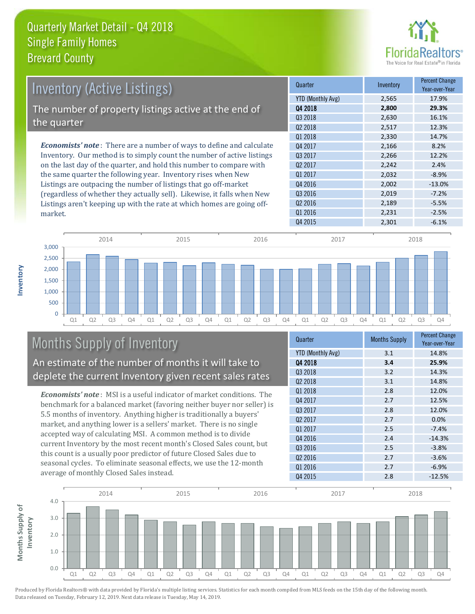market.

**Inventory**



| <b>Inventory (Active Listings)</b>                                           | Quarter           | Inventory | <b>Percent Change</b><br>Year-over-Year |
|------------------------------------------------------------------------------|-------------------|-----------|-----------------------------------------|
|                                                                              | YTD (Monthly Avg) | 2,565     | 17.9%                                   |
| The number of property listings active at the end of                         | 04 2018           | 2.800     | 29.3%                                   |
| the quarter                                                                  | 03 2018           | 2,630     | 16.1%                                   |
|                                                                              | 02 2018           | 2,517     | 12.3%                                   |
|                                                                              | Q1 2018           | 2.330     | 14.7%                                   |
| <b>Economists' note</b> : There are a number of ways to define and calculate | Q4 2017           | 2,166     | 8.2%                                    |
| Inventory. Our method is to simply count the number of active listings       | 03 2017           | 2,266     | 12.2%                                   |
| on the last day of the quarter, and hold this number to compare with         | 02 2017           | 2.242     | 2.4%                                    |
| the same quarter the following year. Inventory rises when New                | 01 2017           | 2,032     | $-8.9%$                                 |
| Listings are outpacing the number of listings that go off-market             | 04 2016           | 2.002     | $-13.0%$                                |
| (regardless of whether they actually sell). Likewise, it falls when New      | 03 2016           | 2.019     | $-7.2%$                                 |

Q4 2015 2,301 -6.1% Q1 Q2 Q3 Q4 Q1 Q2 Q3 Q4 Q1 Q2 Q3 Q4 Q1 Q2 Q3 Q4 Q1 Q2 Q3 Q4  $\overline{0}$ 500 1,000 1,500 2,000 2,500 3,000 2014 2015 2016 2017 2018

# Months Supply of Inventory

An estimate of the number of months it will take to deplete the current Inventory given recent sales rates

Listings aren't keeping up with the rate at which homes are going off-

*Economists' note* : MSI is a useful indicator of market conditions. The benchmark for a balanced market (favoring neither buyer nor seller) is 5.5 months of inventory. Anything higher is traditionally a buyers' market, and anything lower is a sellers' market. There is no single accepted way of calculating MSI. A common method is to divide current Inventory by the most recent month's Closed Sales count, but this count is a usually poor predictor of future Closed Sales due to seasonal cycles. To eliminate seasonal effects, we use the 12-month average of monthly Closed Sales instead.

| Quarter                  | <b>Months Supply</b> | <b>Percent Change</b><br>Year-over-Year |
|--------------------------|----------------------|-----------------------------------------|
| <b>YTD (Monthly Avg)</b> | 3.1                  | 14.8%                                   |
| Q4 2018                  | 3.4                  | 25.9%                                   |
| Q3 2018                  | 3.2                  | 14.3%                                   |
| 02 2018                  | 3.1                  | 14.8%                                   |
| 01 2018                  | 2.8                  | 12.0%                                   |
| Q4 2017                  | 2.7                  | 12.5%                                   |
| Q3 2017                  | 2.8                  | 12.0%                                   |
| Q <sub>2</sub> 2017      | 2.7                  | 0.0%                                    |
| Q1 2017                  | 2.5                  | $-7.4%$                                 |
| Q4 2016                  | 2.4                  | $-14.3%$                                |
| Q3 2016                  | 2.5                  | $-3.8%$                                 |
| Q <sub>2</sub> 2016      | 2.7                  | $-3.6%$                                 |
| Q1 2016                  | 2.7                  | $-6.9%$                                 |
| Q4 2015                  | 2.8                  | $-12.5%$                                |

 $Q2\,2016$  2,189 -5.5%  $Q1\,2016$   $2,231$   $-2.5\%$ 

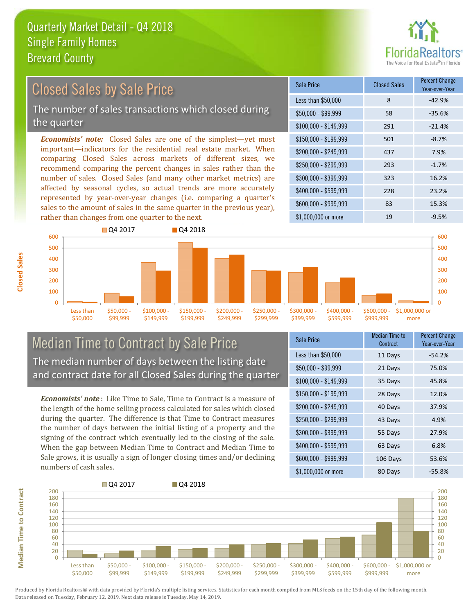rather than changes from one quarter to the next.



#### $$100,000 - $149,999$  291 -21.4% Sale Price Closed Sales Percent Change Year-over-Year Less than \$50,000 8 -42.9% \$50,000 - \$99,999 58 -35.6% \$150,000 - \$199,999 501 -8.7% \$200,000 - \$249,999 437 7.9% \$400,000 - \$599,999 228 23.2% \$600,000 - \$999,999 83 15.3% *Economists' note:* Closed Sales are one of the simplest—yet most important—indicators for the residential real estate market. When comparing Closed Sales across markets of different sizes, we recommend comparing the percent changes in sales rather than the number of sales. Closed Sales (and many other market metrics) are affected by seasonal cycles, so actual trends are more accurately represented by year-over-year changes (i.e. comparing a quarter's sales to the amount of sales in the same quarter in the previous year),  $$250,000 - $299,999$  293 -1.7% \$300,000 - \$399,999 323 16.2% Closed Sales by Sale Price The number of sales transactions which closed during the quarter



#### Median Time to Contract by Sale Price The median number of days between the listing date and contract date for all Closed Sales during the quarter

*Economists' note* : Like Time to Sale, Time to Contract is a measure of the length of the home selling process calculated for sales which closed during the quarter. The difference is that Time to Contract measures the number of days between the initial listing of a property and the signing of the contract which eventually led to the closing of the sale. When the gap between Median Time to Contract and Median Time to Sale grows, it is usually a sign of longer closing times and/or declining numbers of cash sales.

| <b>Sale Price</b>     | <b>Median Time to</b><br>Contract | <b>Percent Change</b><br>Year-over-Year |
|-----------------------|-----------------------------------|-----------------------------------------|
| Less than \$50,000    | 11 Days                           | $-54.2%$                                |
| $$50,000 - $99,999$   | 21 Days                           | 75.0%                                   |
| $$100,000 - $149,999$ | 35 Days                           | 45.8%                                   |
| $$150,000 - $199,999$ | 28 Days                           | 12.0%                                   |
| \$200,000 - \$249,999 | 40 Days                           | 37.9%                                   |
| \$250,000 - \$299,999 | 43 Days                           | 4.9%                                    |
| \$300,000 - \$399,999 | 55 Days                           | 27.9%                                   |
| \$400,000 - \$599,999 | 63 Days                           | 6.8%                                    |
| \$600,000 - \$999,999 | 106 Days                          | 53.6%                                   |
| \$1,000,000 or more   | 80 Days                           | $-55.8%$                                |

\$1,000,000 or more 19 19 -9.5%



**Closed Sales**

**Median Time to Contract Median Time to Contract**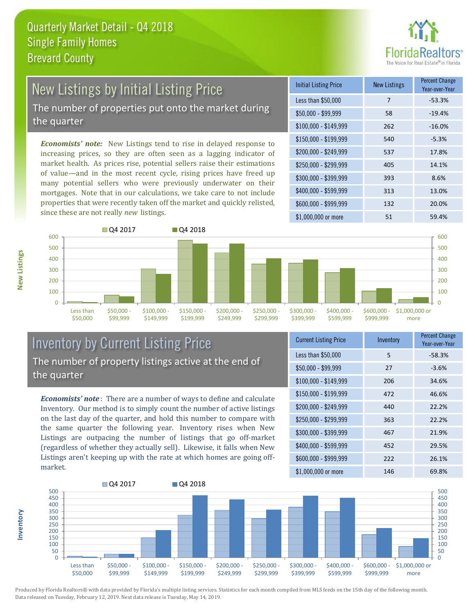

## New Listings by Initial Listing Price The number of properties put onto the market during

the quarter

*Economists' note:* New Listings tend to rise in delayed response to increasing prices, so they are often seen as a lagging indicator of market health. As prices rise, potential sellers raise their estimations of value—and in the most recent cycle, rising prices have freed up many potential sellers who were previously underwater on their mortgages. Note that in our calculations, we take care to not include properties that were recently taken off the market and quickly relisted, since these are not really *new* listings.

| <b>Initial Listing Price</b> | <b>New Listings</b> | <b>Percent Change</b><br>Year-over-Year |
|------------------------------|---------------------|-----------------------------------------|
| Less than \$50,000           | 7                   | $-53.3%$                                |
| $$50,000 - $99,999$          | 58                  | $-19.4%$                                |
| $$100,000 - $149,999$        | 262                 | $-16.0%$                                |
| $$150,000 - $199,999$        | 540                 | $-5.3%$                                 |
| \$200,000 - \$249,999        | 537                 | 17.8%                                   |
| \$250,000 - \$299,999        | 405                 | 14.1%                                   |
| \$300,000 - \$399,999        | 393                 | 8.6%                                    |
| \$400,000 - \$599,999        | 313                 | 13.0%                                   |
| \$600,000 - \$999,999        | 132                 | 20.0%                                   |
| $$1,000,000$ or more         | 51                  | 59.4%                                   |



#### Inventory by Current Listing Price The number of property listings active at the end of the quarter

*Economists' note* : There are a number of ways to define and calculate Inventory. Our method is to simply count the number of active listings on the last day of the quarter, and hold this number to compare with the same quarter the following year. Inventory rises when New Listings are outpacing the number of listings that go off-market (regardless of whether they actually sell). Likewise, it falls when New Listings aren't keeping up with the rate at which homes are going offmarket.

| <b>Current Listing Price</b> | Inventory | Percent Change<br>Year-over-Year |
|------------------------------|-----------|----------------------------------|
| Less than \$50,000           | 5         | $-58.3%$                         |
| $$50,000 - $99,999$          | 27        | $-3.6%$                          |
| $$100,000 - $149,999$        | 206       | 34.6%                            |
| $$150,000 - $199,999$        | 472       | 46.6%                            |
| \$200,000 - \$249,999        | 440       | 22.2%                            |
| \$250,000 - \$299,999        | 363       | 22.2%                            |
| \$300,000 - \$399,999        | 467       | 21.9%                            |
| \$400,000 - \$599,999        | 452       | 29.5%                            |
| \$600,000 - \$999,999        | 222       | 26.1%                            |
| \$1,000,000 or more          | 146       | 69.8%                            |



Produced by Florida Realtors® with data provided by Florida's multiple listing services. Statistics for each month compiled from MLS feeds on the 15th day of the following month. Data released on Tuesday, February 12, 2019. Next data release is Tuesday, May 14, 2019.

**Inventory**